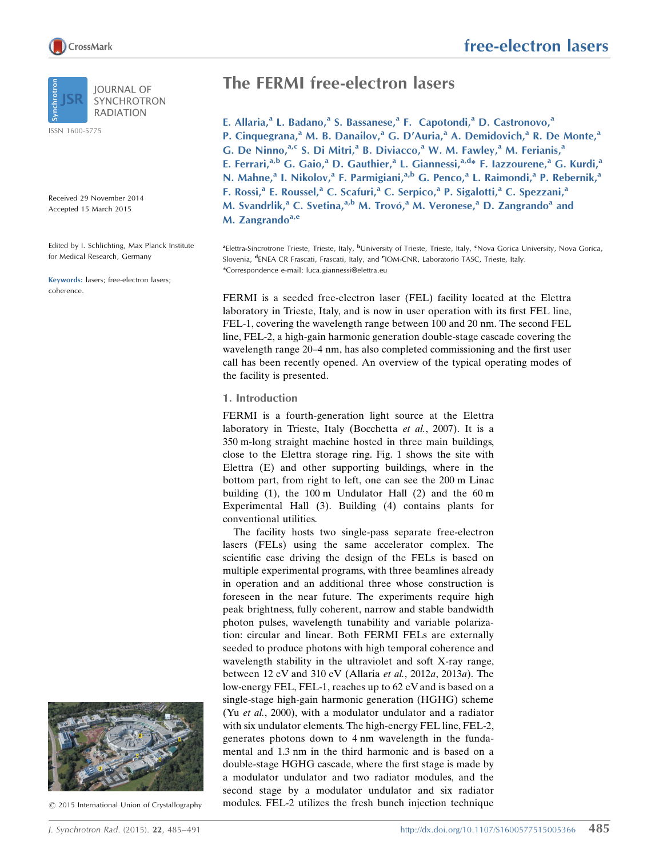ISSN 1600-5775

Received 29 November 2014 Accepted 15 March 2015

Edited by I. Schlichting, Max Planck Institute for Medical Research, Germany

Keywords: lasers; free-electron lasers; coherence.





 $\odot$  2015 International Union of Crystallography

# free-electron lasers

## The FERMI free-electron lasers

E. Allaria,<sup>a</sup> L. Badano,<sup>a</sup> S. Bassanese,<sup>a</sup> F. Capotondi,<sup>a</sup> D. Castronovo,<sup>a</sup> P. Cinquegrana,<sup>a</sup> M. B. Danailov,<sup>a</sup> G. D'Auria,<sup>a</sup> A. Demidovich,<sup>a</sup> R. De Monte,<sup>a</sup> G. De Ninno, a,c S. Di Mitri, a B. Diviacco, a W. M. Fawley, a M. Ferianis, a E. Ferrari,<sup>a,b</sup> G. Gaio,<sup>a</sup> D. Gauthier,<sup>a</sup> L. Giannessi,<sup>a,d</sup>\* F. Iazzourene,<sup>a</sup> G. Kurdi,<sup>a</sup> N. Mahne,<sup>a</sup> I. Nikolov,<sup>a</sup> F. Parmigiani,<sup>a,b</sup> G. Penco,<sup>a</sup> L. Raimondi,<sup>a</sup> P. Rebernik,<sup>a</sup> F. Rossi,<sup>a</sup> E. Roussel,<sup>a</sup> C. Scafuri,<sup>a</sup> C. Serpico,<sup>a</sup> P. Sigalotti,<sup>a</sup> C. Spezzani,<sup>a</sup> M. Svandrlik,<sup>a</sup> C. Svetina,<sup>a,b</sup> M. Trovó,<sup>a</sup> M. Veronese,<sup>a</sup> D. Zangrando<sup>a</sup> and M. Zangrando $a,e$ 

<sup>a</sup>Elettra-Sincrotrone Trieste, Trieste, Italy, <sup>b</sup>University of Trieste, Trieste, Italy, <sup>e</sup>Nova Gorica University, Nova Gorica, Slovenia, <sup>d</sup>ENEA CR Frascati, Frascati, Italy, and <sup>e</sup>IOM-CNR, Laboratorio TASC, Trieste, Italy. \*Correspondence e-mail: luca.giannessi@elettra.eu

FERMI is a seeded free-electron laser (FEL) facility located at the Elettra laboratory in Trieste, Italy, and is now in user operation with its first FEL line, FEL-1, covering the wavelength range between 100 and 20 nm. The second FEL line, FEL-2, a high-gain harmonic generation double-stage cascade covering the wavelength range 20–4 nm, has also completed commissioning and the first user call has been recently opened. An overview of the typical operating modes of the facility is presented.

### 1. Introduction

FERMI is a fourth-generation light source at the Elettra laboratory in Trieste, Italy (Bocchetta et al., 2007). It is a 350 m-long straight machine hosted in three main buildings, close to the Elettra storage ring. Fig. 1 shows the site with Elettra (E) and other supporting buildings, where in the bottom part, from right to left, one can see the 200 m Linac building (1), the 100 m Undulator Hall (2) and the 60 m Experimental Hall (3). Building (4) contains plants for conventional utilities.

The facility hosts two single-pass separate free-electron lasers (FELs) using the same accelerator complex. The scientific case driving the design of the FELs is based on multiple experimental programs, with three beamlines already in operation and an additional three whose construction is foreseen in the near future. The experiments require high peak brightness, fully coherent, narrow and stable bandwidth photon pulses, wavelength tunability and variable polarization: circular and linear. Both FERMI FELs are externally seeded to produce photons with high temporal coherence and wavelength stability in the ultraviolet and soft X-ray range, between 12 eV and 310 eV (Allaria et al., 2012a, 2013a). The low-energy FEL, FEL-1, reaches up to 62 eV and is based on a single-stage high-gain harmonic generation (HGHG) scheme (Yu et al., 2000), with a modulator undulator and a radiator with six undulator elements. The high-energy FEL line, FEL-2, generates photons down to 4 nm wavelength in the fundamental and 1.3 nm in the third harmonic and is based on a double-stage HGHG cascade, where the first stage is made by a modulator undulator and two radiator modules, and the second stage by a modulator undulator and six radiator modules. FEL-2 utilizes the fresh bunch injection technique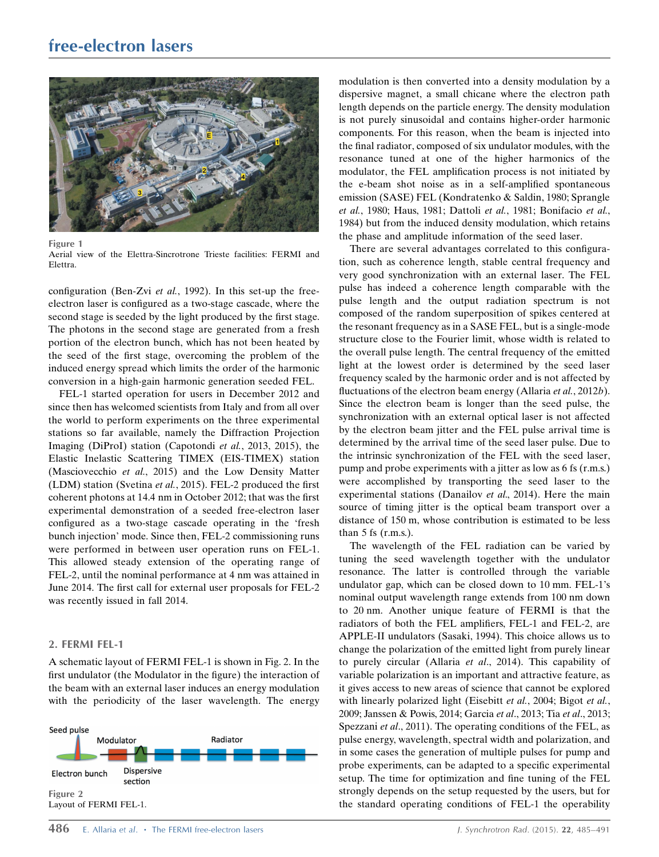## free-electron lasers



Figure 1

Aerial view of the Elettra-Sincrotrone Trieste facilities: FERMI and Elettra.

configuration (Ben-Zvi et al., 1992). In this set-up the freeelectron laser is configured as a two-stage cascade, where the second stage is seeded by the light produced by the first stage. The photons in the second stage are generated from a fresh portion of the electron bunch, which has not been heated by the seed of the first stage, overcoming the problem of the induced energy spread which limits the order of the harmonic conversion in a high-gain harmonic generation seeded FEL.

FEL-1 started operation for users in December 2012 and since then has welcomed scientists from Italy and from all over the world to perform experiments on the three experimental stations so far available, namely the Diffraction Projection Imaging (DiProI) station (Capotondi et al., 2013, 2015), the Elastic Inelastic Scattering TIMEX (EIS-TIMEX) station (Masciovecchio et al., 2015) and the Low Density Matter (LDM) station (Svetina et al., 2015). FEL-2 produced the first coherent photons at 14.4 nm in October 2012; that was the first experimental demonstration of a seeded free-electron laser configured as a two-stage cascade operating in the 'fresh bunch injection' mode. Since then, FEL-2 commissioning runs were performed in between user operation runs on FEL-1. This allowed steady extension of the operating range of FEL-2, until the nominal performance at 4 nm was attained in June 2014. The first call for external user proposals for FEL-2 was recently issued in fall 2014.

## 2. FERMI FEL-1

A schematic layout of FERMI FEL-1 is shown in Fig. 2. In the first undulator (the Modulator in the figure) the interaction of the beam with an external laser induces an energy modulation with the periodicity of the laser wavelength. The energy



modulation is then converted into a density modulation by a dispersive magnet, a small chicane where the electron path length depends on the particle energy. The density modulation is not purely sinusoidal and contains higher-order harmonic components. For this reason, when the beam is injected into the final radiator, composed of six undulator modules, with the resonance tuned at one of the higher harmonics of the modulator, the FEL amplification process is not initiated by the e-beam shot noise as in a self-amplified spontaneous emission (SASE) FEL (Kondratenko & Saldin, 1980; Sprangle et al., 1980; Haus, 1981; Dattoli et al., 1981; Bonifacio et al., 1984) but from the induced density modulation, which retains the phase and amplitude information of the seed laser.

There are several advantages correlated to this configuration, such as coherence length, stable central frequency and very good synchronization with an external laser. The FEL pulse has indeed a coherence length comparable with the pulse length and the output radiation spectrum is not composed of the random superposition of spikes centered at the resonant frequency as in a SASE FEL, but is a single-mode structure close to the Fourier limit, whose width is related to the overall pulse length. The central frequency of the emitted light at the lowest order is determined by the seed laser frequency scaled by the harmonic order and is not affected by fluctuations of the electron beam energy (Allaria et al., 2012b). Since the electron beam is longer than the seed pulse, the synchronization with an external optical laser is not affected by the electron beam jitter and the FEL pulse arrival time is determined by the arrival time of the seed laser pulse. Due to the intrinsic synchronization of the FEL with the seed laser, pump and probe experiments with a jitter as low as 6 fs (r.m.s.) were accomplished by transporting the seed laser to the experimental stations (Danailov et al., 2014). Here the main source of timing jitter is the optical beam transport over a distance of 150 m, whose contribution is estimated to be less than  $5$  fs (r.m.s.).

The wavelength of the FEL radiation can be varied by tuning the seed wavelength together with the undulator resonance. The latter is controlled through the variable undulator gap, which can be closed down to 10 mm. FEL-1's nominal output wavelength range extends from 100 nm down to 20 nm. Another unique feature of FERMI is that the radiators of both the FEL amplifiers, FEL-1 and FEL-2, are APPLE-II undulators (Sasaki, 1994). This choice allows us to change the polarization of the emitted light from purely linear to purely circular (Allaria et al., 2014). This capability of variable polarization is an important and attractive feature, as it gives access to new areas of science that cannot be explored with linearly polarized light (Eisebitt et al., 2004; Bigot et al., 2009; Janssen & Powis, 2014; Garcia et al., 2013; Tia et al., 2013; Spezzani et al., 2011). The operating conditions of the FEL, as pulse energy, wavelength, spectral width and polarization, and in some cases the generation of multiple pulses for pump and probe experiments, can be adapted to a specific experimental setup. The time for optimization and fine tuning of the FEL strongly depends on the setup requested by the users, but for the standard operating conditions of FEL-1 the operability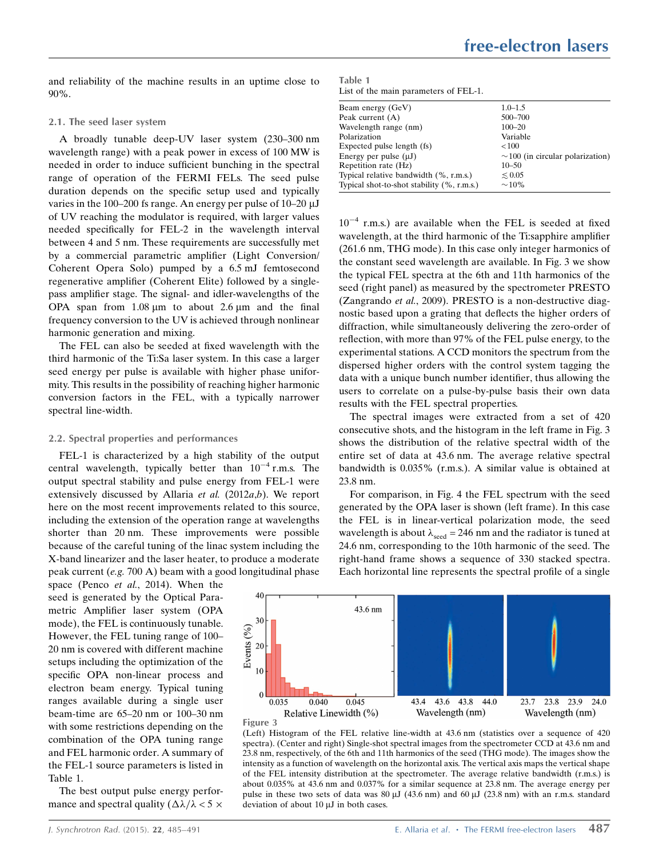and reliability of the machine results in an uptime close to 90%.

#### 2.1. The seed laser system

A broadly tunable deep-UV laser system (230–300 nm wavelength range) with a peak power in excess of 100 MW is needed in order to induce sufficient bunching in the spectral range of operation of the FERMI FELs. The seed pulse duration depends on the specific setup used and typically varies in the 100–200 fs range. An energy per pulse of  $10$ –20  $\mu$ J of UV reaching the modulator is required, with larger values needed specifically for FEL-2 in the wavelength interval between 4 and 5 nm. These requirements are successfully met by a commercial parametric amplifier (Light Conversion/ Coherent Opera Solo) pumped by a 6.5 mJ femtosecond regenerative amplifier (Coherent Elite) followed by a singlepass amplifier stage. The signal- and idler-wavelengths of the OPA span from  $1.08 \mu m$  to about  $2.6 \mu m$  and the final frequency conversion to the UV is achieved through nonlinear harmonic generation and mixing.

The FEL can also be seeded at fixed wavelength with the third harmonic of the Ti:Sa laser system. In this case a larger seed energy per pulse is available with higher phase uniformity. This results in the possibility of reaching higher harmonic conversion factors in the FEL, with a typically narrower spectral line-width.

#### 2.2. Spectral properties and performances

FEL-1 is characterized by a high stability of the output central wavelength, typically better than  $10^{-4}$  r.m.s. The output spectral stability and pulse energy from FEL-1 were extensively discussed by Allaria et al.  $(2012a,b)$ . We report here on the most recent improvements related to this source, including the extension of the operation range at wavelengths shorter than 20 nm. These improvements were possible because of the careful tuning of the linac system including the X-band linearizer and the laser heater, to produce a moderate peak current (e.g. 700 A) beam with a good longitudinal phase

space (Penco *et al.*, 2014). When the seed is generated by the Optical Parametric Amplifier laser system (OPA mode), the FEL is continuously tunable. However, the FEL tuning range of 100– 20 nm is covered with different machine setups including the optimization of the specific OPA non-linear process and electron beam energy. Typical tuning ranges available during a single user beam-time are 65–20 nm or 100–30 nm with some restrictions depending on the combination of the OPA tuning range and FEL harmonic order. A summary of the FEL-1 source parameters is listed in Table 1.

The best output pulse energy performance and spectral quality  $(\Delta \lambda / \lambda < 5 \times$ 

Table 1 List of the main parameters of FEL-1.

| Beam energy (GeV)                          | $1.0 - 1.5$                           |
|--------------------------------------------|---------------------------------------|
| Peak current $(A)$                         | 500-700                               |
| Wavelength range (nm)                      | $100 - 20$                            |
| Polarization                               | Variable                              |
| Expected pulse length (fs)                 | < 100                                 |
| Energy per pulse $(\mu J)$                 | $\sim$ 100 (in circular polarization) |
| Repetition rate (Hz)                       | $10 - 50$                             |
| Typical relative bandwidth (%, r.m.s.)     | $\leq 0.05$                           |
| Typical shot-to-shot stability (%, r.m.s.) | $\sim$ 10%                            |

 $10^{-4}$  r.m.s.) are available when the FEL is seeded at fixed wavelength, at the third harmonic of the Ti:sapphire amplifier (261.6 nm, THG mode). In this case only integer harmonics of the constant seed wavelength are available. In Fig. 3 we show the typical FEL spectra at the 6th and 11th harmonics of the seed (right panel) as measured by the spectrometer PRESTO (Zangrando et al., 2009). PRESTO is a non-destructive diagnostic based upon a grating that deflects the higher orders of diffraction, while simultaneously delivering the zero-order of reflection, with more than 97% of the FEL pulse energy, to the experimental stations. A CCD monitors the spectrum from the dispersed higher orders with the control system tagging the data with a unique bunch number identifier, thus allowing the users to correlate on a pulse-by-pulse basis their own data results with the FEL spectral properties.

The spectral images were extracted from a set of 420 consecutive shots, and the histogram in the left frame in Fig. 3 shows the distribution of the relative spectral width of the entire set of data at 43.6 nm. The average relative spectral bandwidth is 0.035% (r.m.s.). A similar value is obtained at 23.8 nm.

For comparison, in Fig. 4 the FEL spectrum with the seed generated by the OPA laser is shown (left frame). In this case the FEL is in linear-vertical polarization mode, the seed wavelength is about  $\lambda_{\text{seed}} = 246$  nm and the radiator is tuned at 24.6 nm, corresponding to the 10th harmonic of the seed. The right-hand frame shows a sequence of 330 stacked spectra. Each horizontal line represents the spectral profile of a single



(Left) Histogram of the FEL relative line-width at 43.6 nm (statistics over a sequence of 420 spectra). (Center and right) Single-shot spectral images from the spectrometer CCD at 43.6 nm and 23.8 nm, respectively, of the 6th and 11th harmonics of the seed (THG mode). The images show the intensity as a function of wavelength on the horizontal axis. The vertical axis maps the vertical shape of the FEL intensity distribution at the spectrometer. The average relative bandwidth (r.m.s.) is about 0.035% at 43.6 nm and 0.037% for a similar sequence at 23.8 nm. The average energy per pulse in these two sets of data was  $80 \mu J$  (43.6 nm) and  $60 \mu J$  (23.8 nm) with an r.m.s. standard deviation of about  $10 \mu$ J in both cases.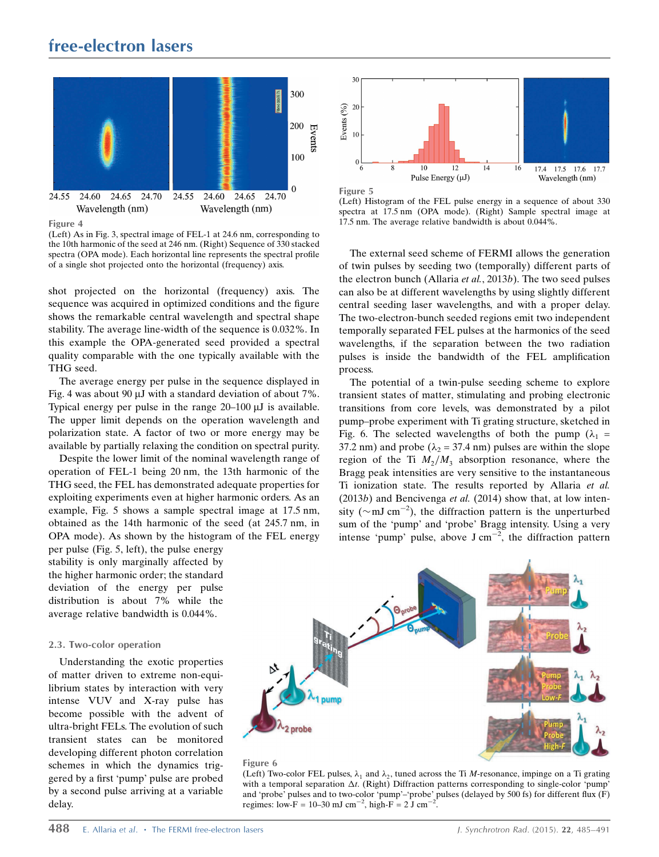## free-electron lasers



Figure 4

(Left) As in Fig. 3, spectral image of FEL-1 at 24.6 nm, corresponding to the 10th harmonic of the seed at 246 nm. (Right) Sequence of 330 stacked spectra (OPA mode). Each horizontal line represents the spectral profile of a single shot projected onto the horizontal (frequency) axis.

shot projected on the horizontal (frequency) axis. The sequence was acquired in optimized conditions and the figure shows the remarkable central wavelength and spectral shape stability. The average line-width of the sequence is 0.032%. In this example the OPA-generated seed provided a spectral quality comparable with the one typically available with the THG seed.

The average energy per pulse in the sequence displayed in Fig. 4 was about 90  $\mu$ J with a standard deviation of about 7%. Typical energy per pulse in the range  $20-100 \mu J$  is available. The upper limit depends on the operation wavelength and polarization state. A factor of two or more energy may be available by partially relaxing the condition on spectral purity.

Despite the lower limit of the nominal wavelength range of operation of FEL-1 being 20 nm, the 13th harmonic of the THG seed, the FEL has demonstrated adequate properties for exploiting experiments even at higher harmonic orders. As an example, Fig. 5 shows a sample spectral image at 17.5 nm, obtained as the 14th harmonic of the seed (at 245.7 nm, in OPA mode). As shown by the histogram of the FEL energy

per pulse (Fig. 5, left), the pulse energy stability is only marginally affected by the higher harmonic order; the standard deviation of the energy per pulse distribution is about 7% while the average relative bandwidth is 0.044%.

## 2.3. Two-color operation

Understanding the exotic properties of matter driven to extreme non-equilibrium states by interaction with very intense VUV and X-ray pulse has become possible with the advent of ultra-bright FELs. The evolution of such transient states can be monitored developing different photon correlation schemes in which the dynamics triggered by a first 'pump' pulse are probed by a second pulse arriving at a variable delay.



(Left) Histogram of the FEL pulse energy in a sequence of about 330 spectra at 17.5 nm (OPA mode). (Right) Sample spectral image at 17.5 nm. The average relative bandwidth is about 0.044%.

The external seed scheme of FERMI allows the generation of twin pulses by seeding two (temporally) different parts of the electron bunch (Allaria et al., 2013b). The two seed pulses can also be at different wavelengths by using slightly different central seeding laser wavelengths, and with a proper delay. The two-electron-bunch seeded regions emit two independent temporally separated FEL pulses at the harmonics of the seed wavelengths, if the separation between the two radiation pulses is inside the bandwidth of the FEL amplification process.

The potential of a twin-pulse seeding scheme to explore transient states of matter, stimulating and probing electronic transitions from core levels, was demonstrated by a pilot pump–probe experiment with Ti grating structure, sketched in Fig. 6. The selected wavelengths of both the pump ( $\lambda_1$  = 37.2 nm) and probe ( $\lambda_2$  = 37.4 nm) pulses are within the slope region of the Ti  $M_2/M_3$  absorption resonance, where the Bragg peak intensities are very sensitive to the instantaneous Ti ionization state. The results reported by Allaria et al.  $(2013b)$  and Bencivenga *et al.*  $(2014)$  show that, at low intensity ( $\sim$ mJ cm<sup>-2</sup>), the diffraction pattern is the unperturbed sum of the 'pump' and 'probe' Bragg intensity. Using a very intense 'pump' pulse, above  $J \text{ cm}^{-2}$ , the diffraction pattern



### Figure 6

(Left) Two-color FEL pulses,  $\lambda_1$  and  $\lambda_2$ , tuned across the Ti *M*-resonance, impinge on a Ti grating with a temporal separation  $\Delta t$ . (Right) Diffraction patterns corresponding to single-color 'pump' and 'probe' pulses and to two-color 'pump'–'probe' pulses (delayed by 500 fs) for different flux (F) regimes: low-F = 10–30 mJ cm<sup>-2</sup>, high-F =  $2 \text{ J cm}^{-2}$ .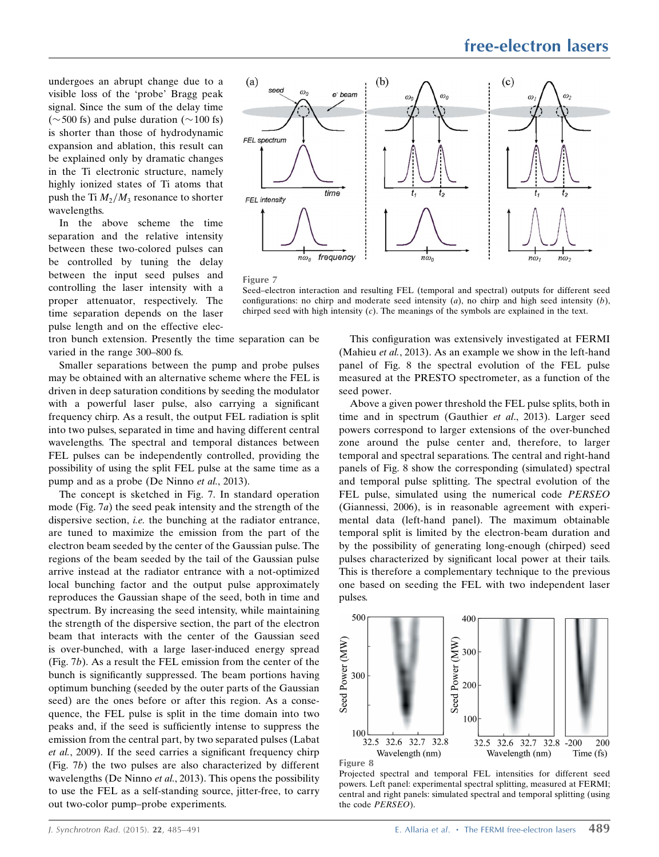undergoes an abrupt change due to a visible loss of the 'probe' Bragg peak signal. Since the sum of the delay time ( $\sim$  500 fs) and pulse duration ( $\sim$  100 fs) is shorter than those of hydrodynamic expansion and ablation, this result can be explained only by dramatic changes in the Ti electronic structure, namely highly ionized states of Ti atoms that push the Ti  $M_2/M_3$  resonance to shorter wavelengths.

In the above scheme the time separation and the relative intensity between these two-colored pulses can be controlled by tuning the delay between the input seed pulses and controlling the laser intensity with a proper attenuator, respectively. The time separation depends on the laser pulse length and on the effective elec-

tron bunch extension. Presently the time separation can be varied in the range 300–800 fs.

Smaller separations between the pump and probe pulses may be obtained with an alternative scheme where the FEL is driven in deep saturation conditions by seeding the modulator with a powerful laser pulse, also carrying a significant frequency chirp. As a result, the output FEL radiation is split into two pulses, separated in time and having different central wavelengths. The spectral and temporal distances between FEL pulses can be independently controlled, providing the possibility of using the split FEL pulse at the same time as a pump and as a probe (De Ninno et al., 2013).

The concept is sketched in Fig. 7. In standard operation mode (Fig. 7a) the seed peak intensity and the strength of the dispersive section, *i.e.* the bunching at the radiator entrance, are tuned to maximize the emission from the part of the electron beam seeded by the center of the Gaussian pulse. The regions of the beam seeded by the tail of the Gaussian pulse arrive instead at the radiator entrance with a not-optimized local bunching factor and the output pulse approximately reproduces the Gaussian shape of the seed, both in time and spectrum. By increasing the seed intensity, while maintaining the strength of the dispersive section, the part of the electron beam that interacts with the center of the Gaussian seed is over-bunched, with a large laser-induced energy spread (Fig. 7b). As a result the FEL emission from the center of the bunch is significantly suppressed. The beam portions having optimum bunching (seeded by the outer parts of the Gaussian seed) are the ones before or after this region. As a consequence, the FEL pulse is split in the time domain into two peaks and, if the seed is sufficiently intense to suppress the emission from the central part, by two separated pulses (Labat et al., 2009). If the seed carries a significant frequency chirp (Fig. 7b) the two pulses are also characterized by different wavelengths (De Ninno et al., 2013). This opens the possibility to use the FEL as a self-standing source, jitter-free, to carry out two-color pump–probe experiments.





Seed–electron interaction and resulting FEL (temporal and spectral) outputs for different seed configurations: no chirp and moderate seed intensity  $(a)$ , no chirp and high seed intensity  $(b)$ , chirped seed with high intensity (c). The meanings of the symbols are explained in the text.

This configuration was extensively investigated at FERMI (Mahieu et al., 2013). As an example we show in the left-hand panel of Fig. 8 the spectral evolution of the FEL pulse measured at the PRESTO spectrometer, as a function of the seed power.

Above a given power threshold the FEL pulse splits, both in time and in spectrum (Gauthier *et al.*, 2013). Larger seed powers correspond to larger extensions of the over-bunched zone around the pulse center and, therefore, to larger temporal and spectral separations. The central and right-hand panels of Fig. 8 show the corresponding (simulated) spectral and temporal pulse splitting. The spectral evolution of the FEL pulse, simulated using the numerical code PERSEO (Giannessi, 2006), is in reasonable agreement with experimental data (left-hand panel). The maximum obtainable temporal split is limited by the electron-beam duration and by the possibility of generating long-enough (chirped) seed pulses characterized by significant local power at their tails. This is therefore a complementary technique to the previous one based on seeding the FEL with two independent laser pulses.



Figure 8

Projected spectral and temporal FEL intensities for different seed powers. Left panel: experimental spectral splitting, measured at FERMI; central and right panels: simulated spectral and temporal splitting (using the code PERSEO).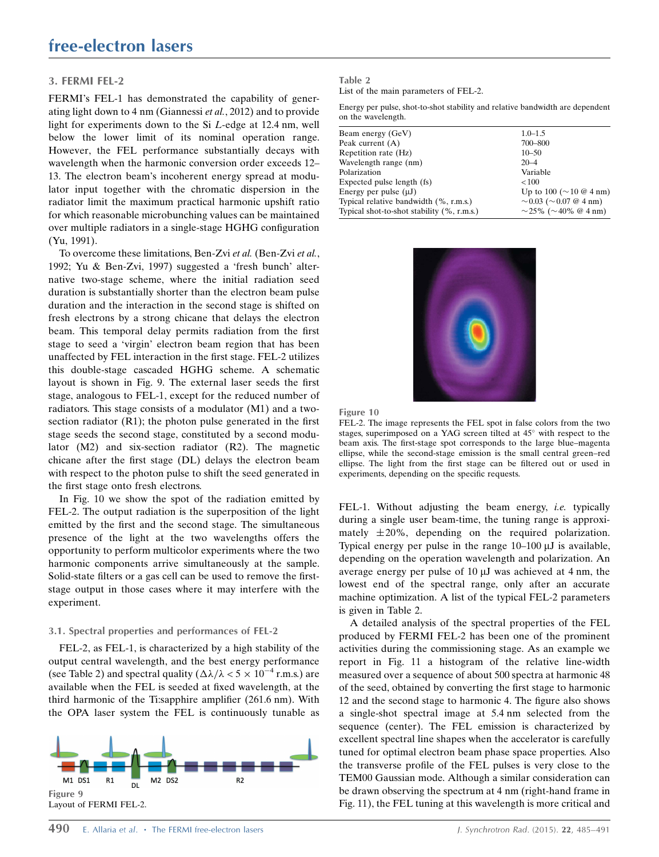## 3. FERMI FEL-2

FERMI's FEL-1 has demonstrated the capability of generating light down to 4 nm (Giannessi et al., 2012) and to provide light for experiments down to the Si L-edge at 12.4 nm, well below the lower limit of its nominal operation range. However, the FEL performance substantially decays with wavelength when the harmonic conversion order exceeds 12– 13. The electron beam's incoherent energy spread at modulator input together with the chromatic dispersion in the radiator limit the maximum practical harmonic upshift ratio for which reasonable microbunching values can be maintained over multiple radiators in a single-stage HGHG configuration (Yu, 1991).

To overcome these limitations, Ben-Zvi et al. (Ben-Zvi et al., 1992; Yu & Ben-Zvi, 1997) suggested a 'fresh bunch' alternative two-stage scheme, where the initial radiation seed duration is substantially shorter than the electron beam pulse duration and the interaction in the second stage is shifted on fresh electrons by a strong chicane that delays the electron beam. This temporal delay permits radiation from the first stage to seed a 'virgin' electron beam region that has been unaffected by FEL interaction in the first stage. FEL-2 utilizes this double-stage cascaded HGHG scheme. A schematic layout is shown in Fig. 9. The external laser seeds the first stage, analogous to FEL-1, except for the reduced number of radiators. This stage consists of a modulator (M1) and a twosection radiator (R1); the photon pulse generated in the first stage seeds the second stage, constituted by a second modulator (M2) and six-section radiator (R2). The magnetic chicane after the first stage (DL) delays the electron beam with respect to the photon pulse to shift the seed generated in the first stage onto fresh electrons.

In Fig. 10 we show the spot of the radiation emitted by FEL-2. The output radiation is the superposition of the light emitted by the first and the second stage. The simultaneous presence of the light at the two wavelengths offers the opportunity to perform multicolor experiments where the two harmonic components arrive simultaneously at the sample. Solid-state filters or a gas cell can be used to remove the firststage output in those cases where it may interfere with the experiment.

#### 3.1. Spectral properties and performances of FEL-2

FEL-2, as FEL-1, is characterized by a high stability of the output central wavelength, and the best energy performance (see Table 2) and spectral quality ( $\Delta\lambda/\lambda < 5 \times 10^{-4}$  r.m.s.) are available when the FEL is seeded at fixed wavelength, at the third harmonic of the Ti:sapphire amplifier (261.6 nm). With the OPA laser system the FEL is continuously tunable as



### Table 2

List of the main parameters of FEL-2.

Energy per pulse, shot-to-shot stability and relative bandwidth are dependent on the wavelength.

| $1.0 - 1.5$                       |
|-----------------------------------|
|                                   |
| 700-800                           |
| $10 - 50$                         |
| $20 - 4$                          |
| Variable                          |
| < 100                             |
| Up to 100 ( $\sim$ 10 @ 4 nm)     |
| $\sim$ 0.03 ( $\sim$ 0.07 @ 4 nm) |
| $\sim$ 25% ( $\sim$ 40% @ 4 nm)   |
|                                   |





FEL-2. The image represents the FEL spot in false colors from the two stages, superimposed on a YAG screen tilted at  $45^{\circ}$  with respect to the beam axis. The first-stage spot corresponds to the large blue–magenta ellipse, while the second-stage emission is the small central green–red ellipse. The light from the first stage can be filtered out or used in experiments, depending on the specific requests.

FEL-1. Without adjusting the beam energy, *i.e.* typically during a single user beam-time, the tuning range is approximately  $\pm 20\%$ , depending on the required polarization. Typical energy per pulse in the range  $10-100 \mu$ J is available, depending on the operation wavelength and polarization. An average energy per pulse of  $10 \mu$ J was achieved at 4 nm, the lowest end of the spectral range, only after an accurate machine optimization. A list of the typical FEL-2 parameters is given in Table 2.

A detailed analysis of the spectral properties of the FEL produced by FERMI FEL-2 has been one of the prominent activities during the commissioning stage. As an example we report in Fig. 11 a histogram of the relative line-width measured over a sequence of about 500 spectra at harmonic 48 of the seed, obtained by converting the first stage to harmonic 12 and the second stage to harmonic 4. The figure also shows a single-shot spectral image at 5.4 nm selected from the sequence (center). The FEL emission is characterized by excellent spectral line shapes when the accelerator is carefully tuned for optimal electron beam phase space properties. Also the transverse profile of the FEL pulses is very close to the TEM00 Gaussian mode. Although a similar consideration can be drawn observing the spectrum at 4 nm (right-hand frame in Fig. 11), the FEL tuning at this wavelength is more critical and